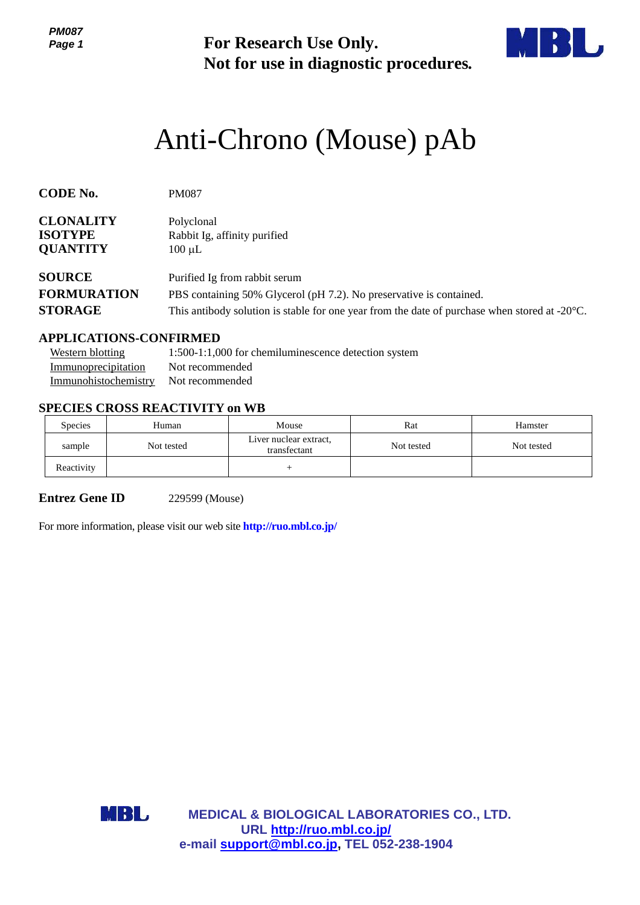*PM087 Page 1*

**For Research Use Only. Not for use in diagnostic procedures.**



# Anti-Chrono (Mouse) pAb

| <b>CODE No.</b>    | <b>PM087</b>                                                                                            |
|--------------------|---------------------------------------------------------------------------------------------------------|
| <b>CLONALITY</b>   | Polyclonal                                                                                              |
| <b>ISOTYPE</b>     | Rabbit Ig, affinity purified                                                                            |
| <b>QUANTITY</b>    | $100 \mu L$                                                                                             |
| <b>SOURCE</b>      | Purified Ig from rabbit serum                                                                           |
| <b>FORMURATION</b> | PBS containing 50% Glycerol (pH 7.2). No preservative is contained.                                     |
| <b>STORAGE</b>     | This antibody solution is stable for one year from the date of purchase when stored at $-20^{\circ}$ C. |

#### **APPLICATIONS-CONFIRMED**

| Western blotting                     | 1:500-1:1,000 for chemiluminescence detection system |
|--------------------------------------|------------------------------------------------------|
| Immunoprecipitation                  | Not recommended                                      |
| Immunohistochemistry Not recommended |                                                      |

## **SPECIES CROSS REACTIVITY on WB**

| <b>Species</b> | Human      | Mouse                                  | Rat        | Hamster    |
|----------------|------------|----------------------------------------|------------|------------|
| sample         | Not tested | Liver nuclear extract,<br>transfectant | Not tested | Not tested |
| Reactivity     |            |                                        |            |            |

**Entrez Gene ID** 229599 (Mouse)

For more information, please visit our web site **<http://ruo.mbl.co.jp/>**

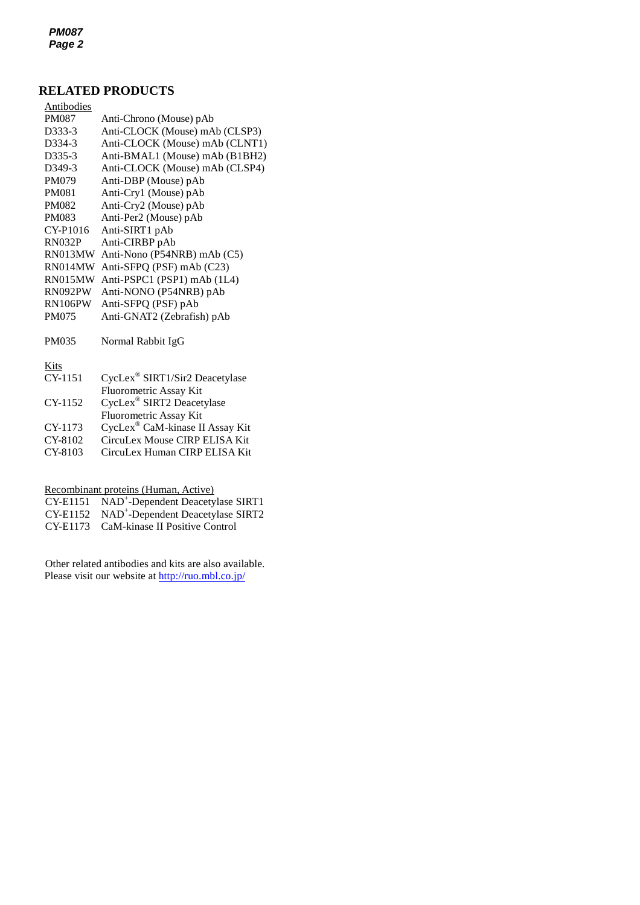*PM087 Page 2*

## **RELATED PRODUCTS**

| <b>Antibodies</b>   |                                |
|---------------------|--------------------------------|
| <b>PM087</b>        | Anti-Chrono (Mouse) pAb        |
| D333-3              | Anti-CLOCK (Mouse) mAb (CLSP3) |
| D334-3              | Anti-CLOCK (Mouse) mAb (CLNT1) |
| D335-3              | Anti-BMAL1 (Mouse) mAb (B1BH2) |
| D <sub>349</sub> -3 | Anti-CLOCK (Mouse) mAb (CLSP4) |
| <b>PM079</b>        | Anti-DBP (Mouse) pAb           |
| <b>PM081</b>        | Anti-Cry1 (Mouse) pAb          |
| <b>PM082</b>        | Anti-Cry2 (Mouse) pAb          |
| <b>PM083</b>        | Anti-Per2 (Mouse) pAb          |
| CY-P1016            | Anti-SIRT1 pAb                 |
| <b>RN032P</b>       | Anti-CIRBP pAb                 |
| RN013MW             | Anti-Nono (P54NRB) mAb (C5)    |
| RN014MW             | Anti-SFPQ (PSF) mAb (C23)      |
| RN015MW             | Anti-PSPC1 (PSP1) mAb (1L4)    |
| RN092PW             | Anti-NONO (P54NRB) pAb         |
| RN106PW             | Anti-SFPQ (PSF) pAb            |
| PM075               | Anti-GNAT2 (Zebrafish) pAb     |
| PM035               | Normal Rabbit IgG              |
| $V:_{\epsilon}$     |                                |

Kits

| CY-1151 | CycLex <sup>®</sup> SIRT1/Sir2 Deacetylase |
|---------|--------------------------------------------|
|         | Fluorometric Assay Kit                     |
| CY-1152 | CycLex® SIRT2 Deacetylase                  |
|         | Fluorometric Assay Kit                     |
| CY-1173 | CycLex® CaM-kinase II Assay Kit            |
| CY-8102 | CircuLex Mouse CIRP ELISA Kit              |
| CY-8103 | CircuLex Human CIRP ELISA Kit              |
|         |                                            |

Recombinant proteins (Human, Active)

| CY-E1151 NAD <sup>+</sup> -Dependent Deacetylase SIRT1 |
|--------------------------------------------------------|
| CY-E1152 NAD <sup>+</sup> -Dependent Deacetylase SIRT2 |
| CY-E1173 CaM-kinase II Positive Control                |

Other related antibodies and kits are also available. Please visit our website at <http://ruo.mbl.co.jp/>